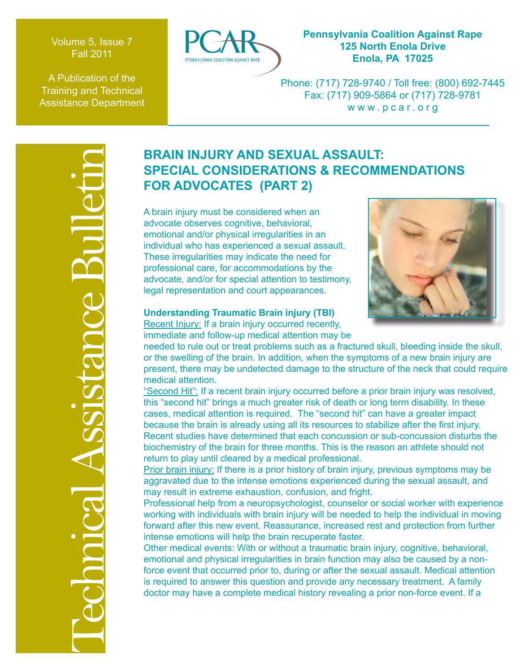Volume 5, Issue 7 Fall 2011

A Publication of the Training and Technical Assistance Department



## **Pennsylvania Coalition Against Rape 125 North Enola Drive Enola, PA 17025**

Phone: (717) 728-9740 / Toll free: (800) 692-7445 Fax: (717) 909-5864 or (717) 728-9781 www.pcar.org

# **SPECIAL CONSIDERATIONS & RECOMMENDATIONS FOR ADVOCATES (PART 2)**

A brain injury must be considered when an advocate observes cognitive, behavioral, emotional and/or physical irregularities in an individual who has experienced a sexual assault. These irregularities may indicate the need for professional care, for accommodations by the advocate, and/or for special attention to testimony, legal representation and court appearances.



# **Understanding Traumatic Brain injury (TBI)**

Recent Injury: If a brain injury occurred recently, immediate and follow-up medical attention may be

needed to rule out or treat problems such as a fractured skull, bleeding inside the skull, or the swelling of the brain. In addition, when the symptoms of a new brain injury are present, there may be undetected damage to the structure of the neck that could require medical attention.

**EXECUTE ASSAULT:**<br>
SPECIAL CONSIDERATIONS & RECOMM<br>
FOR ADVOCATES (PARTIONS & RECOMM<br>
A brain injury must be considered when an<br>
advocate observes cognitive, behavioral,<br>
individual who has experienced a sexual assault.<br> "Second Hit": If a recent brain injury occurred before a prior brain injury was resolved, this "second hit" brings a much greater risk of death or long term disability. In these cases, medical attention is required. The "second hit" can have a greater impact because the brain is already using all its resources to stabilize after the first injury. Recent studies have determined that each concussion or sub-concussion disturbs the biochemistry of the brain for three months. This is the reason an athlete should not return to play until cleared by a medical professional.

Prior brain injury: If there is a prior history of brain injury, previous symptoms may be aggravated due to the intense emotions experienced during the sexual assault, and may result in extreme exhaustion, confusion, and fright.

Professional help from a neuropsychologist, counselor or social worker with experience working with individuals with brain injury will be needed to help the individual in moving forward after this new event. Reassurance, increased rest and protection from further intense emotions will help the brain recuperate faster.

Other medical events: With or without a traumatic brain injury, cognitive, behavioral, emotional and physical irregularities in brain function may also be caused by a nonforce event that occurred prior to, during or after the sexual assault. Medical attention is required to answer this question and provide any necessary treatment. A family doctor may have a complete medical history revealing a prior non-force event. If a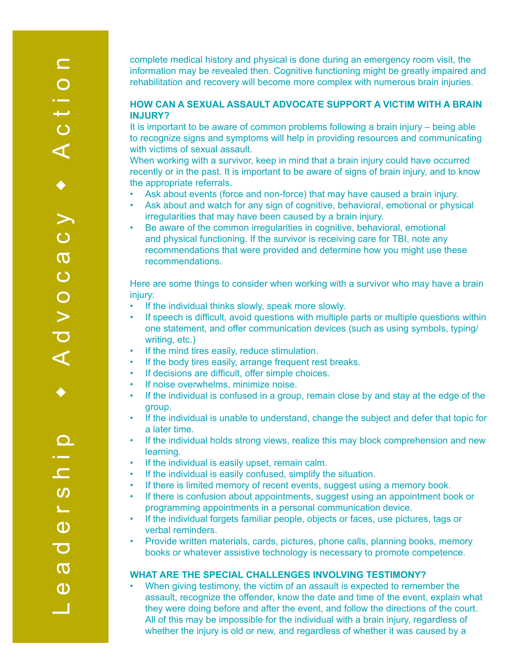complete medical history and physical is done during an emergency room visit, the information may be revealed then. Cognitive functioning might be greatly impaired and rehabilitation and recovery will become more complex with numerous brain injuries.

#### **HOW CAN A SEXUAL ASSAULT ADVOCATE SUPPORT A VICTIM WITH A BRAIN INJURY?**

It is important to be aware of common problems following a brain injury – being able to recognize signs and symptoms will help in providing resources and communicating with victims of sexual assault.

When working with a survivor, keep in mind that a brain injury could have occurred recently or in the past. It is important to be aware of signs of brain injury, and to know the appropriate referrals.

- Ask about events (force and non-force) that may have caused a brain injury.
- Ask about and watch for any sign of cognitive, behavioral, emotional or physical irregularities that may have been caused by a brain injury.
- Be aware of the common irregularities in cognitive, behavioral, emotional and physical functioning. If the survivor is receiving care for TBI, note any recommendations that were provided and determine how you might use these recommendations.

Here are some things to consider when working with a survivor who may have a brain injury:

- If the individual thinks slowly, speak more slowly.
- If speech is difficult, avoid questions with multiple parts or multiple questions within one statement, and offer communication devices (such as using symbols, typing/ writing, etc.)
- If the mind tires easily, reduce stimulation.
- If the body tires easily, arrange frequent rest breaks.
- If decisions are difficult, offer simple choices.
- If noise overwhelms, minimize noise.
- If the individual is confused in a group, remain close by and stay at the edge of the group.
- If the individual is unable to understand, change the subject and defer that topic for a later time.
- If the individual holds strong views, realize this may block comprehension and new learning.
- If the individual is easily upset, remain calm.
- If the individual is easily confused, simplify the situation.
- If there is limited memory of recent events, suggest using a memory book.
	- If there is confusion about appointments, suggest using an appointment book or programming appointments in a personal communication device.
	- If the individual forgets familiar people, objects or faces, use pictures, tags or verbal reminders.
	- Provide written materials, cards, pictures, phone calls, planning books, memory books or whatever assistive technology is necessary to promote competence.

#### **WHAT ARE THE SPECIAL CHALLENGES INVOLVING TESTIMONY?**

• When giving testimony, the victim of an assault is expected to remember the assault, recognize the offender, know the date and time of the event, explain what they were doing before and after the event, and follow the directions of the court. All of this may be impossible for the individual with a brain injury, regardless of whether the injury is old or new, and regardless of whether it was caused by a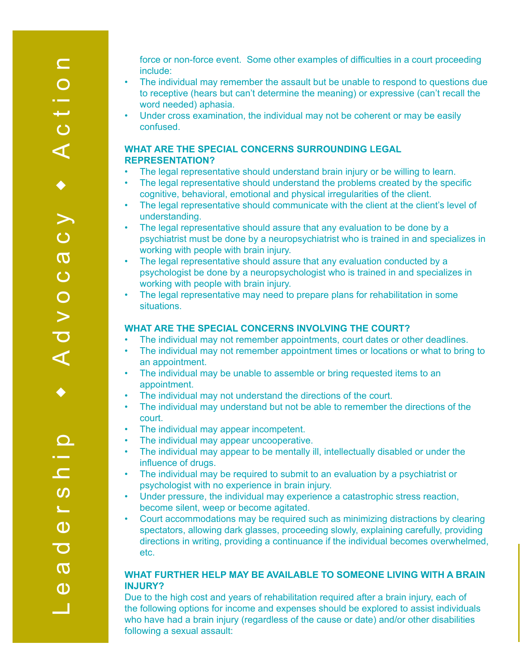force or non-force event. Some other examples of difficulties in a court proceeding include:

- The individual may remember the assault but be unable to respond to questions due to receptive (hears but can't determine the meaning) or expressive (can't recall the word needed) aphasia.
- Under cross examination, the individual may not be coherent or may be easily confused.

#### **WHAT ARE THE SPECIAL CONCERNS SURROUNDING LEGAL REPRESENTATION?**

- The legal representative should understand brain injury or be willing to learn.
- The legal representative should understand the problems created by the specific cognitive, behavioral, emotional and physical irregularities of the client.
- The legal representative should communicate with the client at the client's level of understanding.
- The legal representative should assure that any evaluation to be done by a psychiatrist must be done by a neuropsychiatrist who is trained in and specializes in working with people with brain injury.
- The legal representative should assure that any evaluation conducted by a psychologist be done by a neuropsychologist who is trained in and specializes in working with people with brain injury.
- The legal representative may need to prepare plans for rehabilitation in some situations.

### **WHAT ARE THE SPECIAL CONCERNS INVOLVING THE COURT?**

- The individual may not remember appointments, court dates or other deadlines.
- The individual may not remember appointment times or locations or what to bring to an appointment.
- The individual may be unable to assemble or bring requested items to an appointment.
- The individual may not understand the directions of the court.
- The individual may understand but not be able to remember the directions of the court.
- The individual may appear incompetent.
- The individual may appear uncooperative.
- The individual may appear to be mentally ill, intellectually disabled or under the influence of drugs.
- The individual may be required to submit to an evaluation by a psychiatrist or psychologist with no experience in brain injury.
- Under pressure, the individual may experience a catastrophic stress reaction, become silent, weep or become agitated.
- Court accommodations may be required such as minimizing distractions by clearing spectators, allowing dark glasses, proceeding slowly, explaining carefully, providing directions in writing, providing a continuance if the individual becomes overwhelmed, etc.

## **WHAT FURTHER HELP MAY BE AVAILABLE TO SOMEONE LIVING WITH A BRAIN INJURY?**

Due to the high cost and years of rehabilitation required after a brain injury, each of the following options for income and expenses should be explored to assist individuals who have had a brain injury (regardless of the cause or date) and/or other disabilities following a sexual assault: